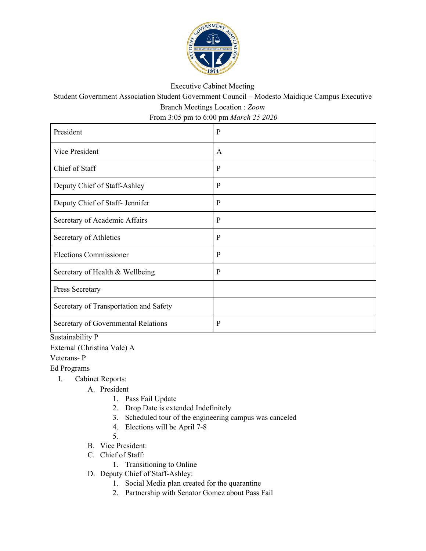

## Executive Cabinet Meeting

Student Government Association Student Government Council – Modesto Maidique Campus Executive Branch Meetings Location : *Zoom*

From 3:05 pm to 6:00 pm *March 25 2020*

| President                              | $\mathbf{P}$ |
|----------------------------------------|--------------|
| Vice President                         | A            |
| Chief of Staff                         | $\mathbf{P}$ |
| Deputy Chief of Staff-Ashley           | $\mathbf{P}$ |
| Deputy Chief of Staff- Jennifer        | $\mathbf{P}$ |
| Secretary of Academic Affairs          | $\mathbf{P}$ |
| Secretary of Athletics                 | $\mathbf{P}$ |
| <b>Elections Commissioner</b>          | $\mathbf{P}$ |
| Secretary of Health & Wellbeing        | $\mathbf{P}$ |
| Press Secretary                        |              |
| Secretary of Transportation and Safety |              |
| Secretary of Governmental Relations    | $\mathbf{P}$ |

Sustainability P

External (Christina Vale) A

Veterans- P

Ed Programs

- I. Cabinet Reports:
	- A. President
		- 1. Pass Fail Update
		- 2. Drop Date is extended Indefinitely
		- 3. Scheduled tour of the engineering campus was canceled
		- 4. Elections will be April 7-8
		- 5.
	- B. Vice President:
	- C. Chief of Staff:
		- 1. Transitioning to Online
	- D. Deputy Chief of Staff-Ashley:
		- 1. Social Media plan created for the quarantine
		- 2. Partnership with Senator Gomez about Pass Fail